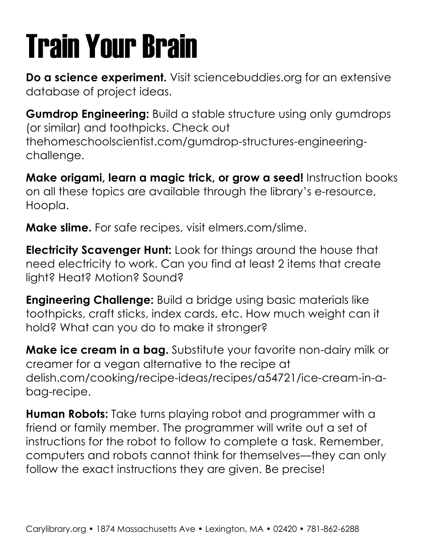## Train Your Brain

**Do a science experiment.** Visit sciencebuddies.org for an extensive database of project ideas.

**Gumdrop Engineering:** Build a stable structure using only gumdrops (or similar) and toothpicks. Check out thehomeschoolscientist.com/gumdrop-structures-engineeringchallenge.

**Make origami, learn a magic trick, or grow a seed!** Instruction books on all these topics are available through the library's e-resource, Hoopla.

**Make slime.** For safe recipes, visit elmers.com/slime.

**Electricity Scavenger Hunt:** Look for things around the house that need electricity to work. Can you find at least 2 items that create light? Heat? Motion? Sound?

**Engineering Challenge:** Build a bridge using basic materials like toothpicks, craft sticks, index cards, etc. How much weight can it hold? What can you do to make it stronger?

**Make ice cream in a bag.** Substitute your favorite non-dairy milk or creamer for a vegan alternative to the recipe at delish.com/cooking/recipe-ideas/recipes/a54721/ice-cream-in-abag-recipe.

**Human Robots:** Take turns playing robot and programmer with a friend or family member. The programmer will write out a set of instructions for the robot to follow to complete a task. Remember, computers and robots cannot think for themselves—they can only follow the exact instructions they are given. Be precise!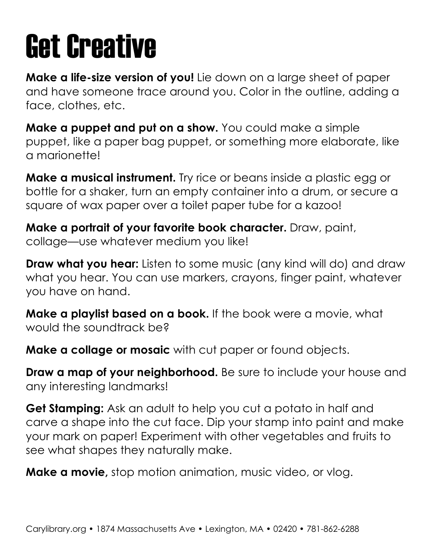#### Get Creative

**Make a life-size version of you!** Lie down on a large sheet of paper and have someone trace around you. Color in the outline, adding a face, clothes, etc.

**Make a puppet and put on a show.** You could make a simple puppet, like a paper bag puppet, or something more elaborate, like a marionette!

**Make a musical instrument.** Try rice or beans inside a plastic egg or bottle for a shaker, turn an empty container into a drum, or secure a square of wax paper over a toilet paper tube for a kazoo!

**Make a portrait of your favorite book character.** Draw, paint, collage—use whatever medium you like!

**Draw what you hear:** Listen to some music (any kind will do) and draw what you hear. You can use markers, crayons, finger paint, whatever you have on hand.

**Make a playlist based on a book.** If the book were a movie, what would the soundtrack be?

**Make a collage or mosaic** with cut paper or found objects.

**Draw a map of your neighborhood.** Be sure to include your house and any interesting landmarks!

**Get Stamping:** Ask an adult to help you cut a potato in half and carve a shape into the cut face. Dip your stamp into paint and make your mark on paper! Experiment with other vegetables and fruits to see what shapes they naturally make.

**Make a movie,** stop motion animation, music video, or vlog.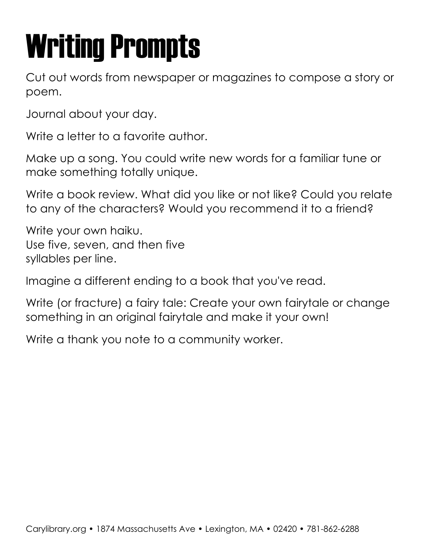## Writing Prompts

Cut out words from newspaper or magazines to compose a story or poem.

Journal about your day.

Write a letter to a favorite author.

Make up a song. You could write new words for a familiar tune or make something totally unique.

Write a book review. What did you like or not like? Could you relate to any of the characters? Would you recommend it to a friend?

Write your own haiku. Use five, seven, and then five syllables per line.

Imagine a different ending to a book that you've read.

Write (or fracture) a fairy tale: Create your own fairytale or change something in an original fairytale and make it your own!

Write a thank you note to a community worker.